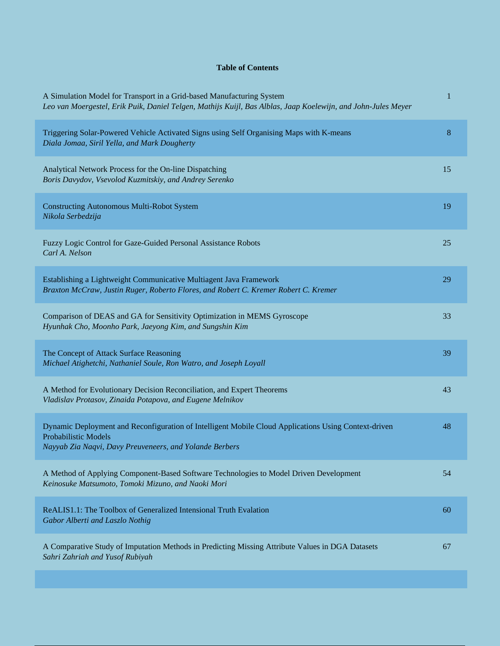## **Table of Contents**

| A Simulation Model for Transport in a Grid-based Manufacturing System<br>Leo van Moergestel, Erik Puik, Daniel Telgen, Mathijs Kuijl, Bas Alblas, Jaap Koelewijn, and John-Jules Meyer  | 1  |
|-----------------------------------------------------------------------------------------------------------------------------------------------------------------------------------------|----|
| Triggering Solar-Powered Vehicle Activated Signs using Self Organising Maps with K-means<br>Diala Jomaa, Siril Yella, and Mark Dougherty                                                | 8  |
| Analytical Network Process for the On-line Dispatching<br>Boris Davydov, Vsevolod Kuzmitskiy, and Andrey Serenko                                                                        | 15 |
| <b>Constructing Autonomous Multi-Robot System</b><br>Nikola Serbedzija                                                                                                                  | 19 |
| Fuzzy Logic Control for Gaze-Guided Personal Assistance Robots<br>Carl A. Nelson                                                                                                        | 25 |
| Establishing a Lightweight Communicative Multiagent Java Framework<br>Braxton McCraw, Justin Ruger, Roberto Flores, and Robert C. Kremer Robert C. Kremer                               | 29 |
| Comparison of DEAS and GA for Sensitivity Optimization in MEMS Gyroscope<br>Hyunhak Cho, Moonho Park, Jaeyong Kim, and Sungshin Kim                                                     | 33 |
| The Concept of Attack Surface Reasoning<br>Michael Atighetchi, Nathaniel Soule, Ron Watro, and Joseph Loyall                                                                            | 39 |
| A Method for Evolutionary Decision Reconciliation, and Expert Theorems<br>Vladislav Protasov, Zinaida Potapova, and Eugene Melnikov                                                     | 43 |
| Dynamic Deployment and Reconfiguration of Intelligent Mobile Cloud Applications Using Context-driven<br>Probabilistic Models<br>Nayyab Zia Naqvi, Davy Preuveneers, and Yolande Berbers | 48 |
| A Method of Applying Component-Based Software Technologies to Model Driven Development<br>Keinosuke Matsumoto, Tomoki Mizuno, and Naoki Mori                                            | 54 |
| ReALIS1.1: The Toolbox of Generalized Intensional Truth Evalation<br>Gabor Alberti and Laszlo Nothig                                                                                    | 60 |
| A Comparative Study of Imputation Methods in Predicting Missing Attribute Values in DGA Datasets<br>Sahri Zahriah and Yusof Rubiyah                                                     | 67 |